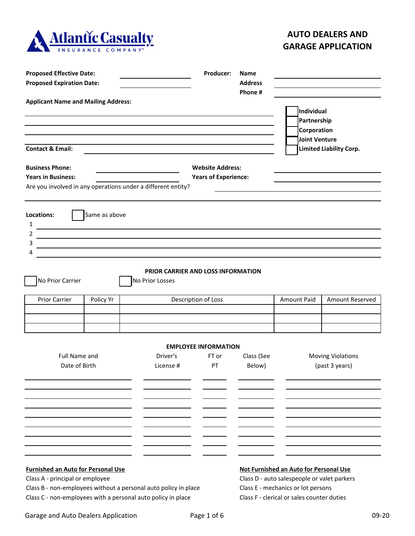

## **AUTO DEALERS AND GARAGE APPLICATION**

| <b>Proposed Effective Date:</b>                                              |               |                                                                                                                                 | Producer:<br>Name                                      |                      |                                                                                                                                                                           |                                                                                                    |  |
|------------------------------------------------------------------------------|---------------|---------------------------------------------------------------------------------------------------------------------------------|--------------------------------------------------------|----------------------|---------------------------------------------------------------------------------------------------------------------------------------------------------------------------|----------------------------------------------------------------------------------------------------|--|
| <b>Proposed Expiration Date:</b>                                             |               |                                                                                                                                 | <b>Address</b>                                         |                      |                                                                                                                                                                           |                                                                                                    |  |
| <b>Applicant Name and Mailing Address:</b><br><b>Contact &amp; Email:</b>    |               |                                                                                                                                 | Phone #                                                |                      |                                                                                                                                                                           | Individual<br>Partnership<br>Corporation<br><b>Joint Venture</b><br><b>Limited Liability Corp.</b> |  |
| <b>Business Phone:</b><br><b>Years in Business:</b>                          |               | Are you involved in any operations under a different entity?                                                                    | <b>Website Address:</b><br><b>Years of Experience:</b> |                      |                                                                                                                                                                           |                                                                                                    |  |
| Locations:<br>1<br>2<br>3<br>4<br>No Prior Carrier                           | Same as above | PRIOR CARRIER AND LOSS INFORMATION<br>No Prior Losses                                                                           |                                                        |                      |                                                                                                                                                                           |                                                                                                    |  |
| Prior Carrier                                                                | Policy Yr     |                                                                                                                                 | Description of Loss                                    |                      | <b>Amount Paid</b>                                                                                                                                                        | Amount Reserved                                                                                    |  |
|                                                                              |               | <b>EMPLOYEE INFORMATION</b>                                                                                                     |                                                        |                      |                                                                                                                                                                           |                                                                                                    |  |
| <b>Full Name and</b><br>Date of Birth                                        |               | Driver's<br>License #                                                                                                           | FT or<br>PT                                            | Class (See<br>Below) |                                                                                                                                                                           | <b>Moving Violations</b><br>(past 3 years)                                                         |  |
|                                                                              |               |                                                                                                                                 |                                                        |                      |                                                                                                                                                                           |                                                                                                    |  |
| <b>Furnished an Auto for Personal Use</b><br>Class A - principal or employee |               | Class B - non-employees without a personal auto policy in place<br>Class C - non-employees with a personal auto policy in place |                                                        |                      | Not Furnished an Auto for Personal Use<br>Class D - auto salespeople or valet parkers<br>Class E - mechanics or lot persons<br>Class F - clerical or sales counter duties |                                                                                                    |  |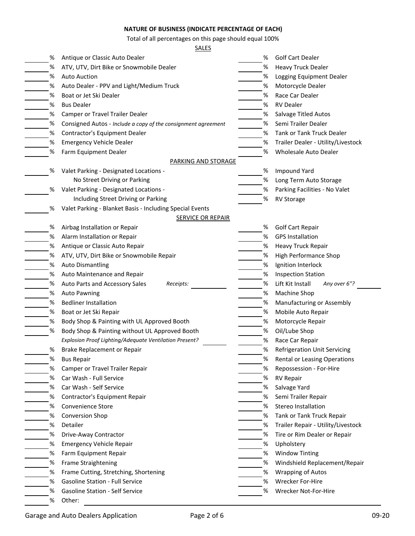## **NATURE OF BUSINESS (INDICATE PERCENTAGE OF EACH)**

Total of all percentages on this page should equal 100%

## SALES

| Antique or Classic Auto Dealer<br>%<br>%                                | <b>Golf Cart Dealer</b>             |  |  |
|-------------------------------------------------------------------------|-------------------------------------|--|--|
| %<br>%<br>ATV, UTV, Dirt Bike or Snowmobile Dealer                      | <b>Heavy Truck Dealer</b>           |  |  |
| %<br><b>Auto Auction</b><br>%                                           | Logging Equipment Dealer            |  |  |
| Auto Dealer - PPV and Light/Medium Truck<br>%<br>%                      | Motorcycle Dealer                   |  |  |
| %<br>%<br>Boat or Jet Ski Dealer                                        | Race Car Dealer                     |  |  |
| %<br><b>RV Dealer</b><br>%<br><b>Bus Dealer</b>                         |                                     |  |  |
| %<br>Camper or Travel Trailer Dealer<br>%                               | <b>Salvage Titled Autos</b>         |  |  |
| %<br>%<br>Consigned Autos - Include a copy of the consignment agreement | Semi Trailer Dealer                 |  |  |
| %<br>%<br>Contractor's Equipment Dealer                                 | <b>Tank or Tank Truck Dealer</b>    |  |  |
| %<br><b>Emergency Vehicle Dealer</b><br>%                               | Trailer Dealer - Utility/Livestock  |  |  |
| %<br>Farm Equipment Dealer<br>%                                         | Wholesale Auto Dealer               |  |  |
| <b>PARKING AND STORAGE</b>                                              |                                     |  |  |
| Valet Parking - Designated Locations -<br>%<br>%                        | <b>Impound Yard</b>                 |  |  |
| No Street Driving or Parking<br>%                                       | Long Term Auto Storage              |  |  |
| %<br>Valet Parking - Designated Locations -<br>%                        | Parking Facilities - No Valet       |  |  |
| Including Street Driving or Parking<br>%<br><b>RV Storage</b>           |                                     |  |  |
| Valet Parking - Blanket Basis - Including Special Events<br>%           |                                     |  |  |
| <b>SERVICE OR REPAIR</b>                                                |                                     |  |  |
| Airbag Installation or Repair<br>%<br>%                                 | <b>Golf Cart Repair</b>             |  |  |
| %<br>Alarm Installation or Repair<br>%                                  | <b>GPS Installation</b>             |  |  |
| %<br>Antique or Classic Auto Repair<br>%                                | Heavy Truck Repair                  |  |  |
| %<br>%<br>ATV, UTV, Dirt Bike or Snowmobile Repair                      | High Performance Shop               |  |  |
| %<br><b>Auto Dismantling</b><br>%                                       | Ignition Interlock                  |  |  |
| %<br>%<br>Auto Maintenance and Repair                                   | <b>Inspection Station</b>           |  |  |
| %<br>%<br>Auto Parts and Accessory Sales<br>Receipts:                   | Lift Kit Install<br>Any over 6"?    |  |  |
| %<br>%<br><b>Auto Pawning</b>                                           | Machine Shop                        |  |  |
| %<br>%<br><b>Bedliner Installation</b>                                  | Manufacturing or Assembly           |  |  |
| %<br>Boat or Jet Ski Repair<br>%                                        | Mobile Auto Repair                  |  |  |
| Body Shop & Painting with UL Approved Booth<br>%<br>%                   | Motorcycle Repair                   |  |  |
| Body Shop & Painting without UL Approved Booth<br>$\%$<br>%             | Oil/Lube Shop                       |  |  |
| Explosion Proof Lighting/Adequate Ventilation Present?<br>%             | Race Car Repair                     |  |  |
| %<br>%<br>Brake Replacement or Repair                                   | <b>Refrigeration Unit Servicing</b> |  |  |
| <b>Bus Repair</b><br>%<br>%                                             | Rental or Leasing Operations        |  |  |
| %<br>%<br>Camper or Travel Trailer Repair                               | Repossession - For-Hire             |  |  |
| Car Wash - Full Service<br>%<br>%                                       | <b>RV Repair</b>                    |  |  |
| %<br>Car Wash - Self Service<br>%                                       | Salvage Yard                        |  |  |
| Contractor's Equipment Repair<br>%<br>%                                 | Semi Trailer Repair                 |  |  |
| %<br>Convenience Store<br>%                                             | <b>Stereo Installation</b>          |  |  |
| <b>Conversion Shop</b><br>%<br>%                                        | Tank or Tank Truck Repair           |  |  |
| %<br>Detailer<br>%                                                      | Trailer Repair - Utility/Livestock  |  |  |
| %<br>%<br>Drive-Away Contractor                                         | Tire or Rim Dealer or Repair        |  |  |
| %<br>%<br><b>Emergency Vehicle Repair</b><br>Upholstery                 |                                     |  |  |
| %<br>%<br>Farm Equipment Repair                                         | <b>Window Tinting</b>               |  |  |
| %<br>%<br>Frame Straightening                                           | Windshield Replacement/Repair       |  |  |
| %<br>Frame Cutting, Stretching, Shortening<br>%                         | <b>Wrapping of Autos</b>            |  |  |
|                                                                         |                                     |  |  |
| <b>Gasoline Station - Full Service</b><br>%<br>%                        | Wrecker For-Hire                    |  |  |
| <b>Gasoline Station - Self Service</b><br>%<br>%                        | Wrecker Not-For-Hire                |  |  |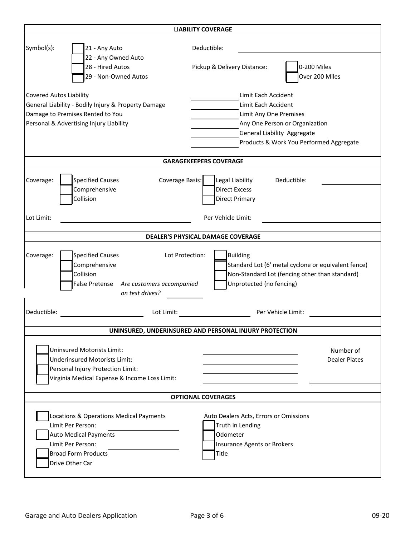| <b>LIABILITY COVERAGE</b>                                                                                                                                            |                                                                                                                                                                                  |  |  |  |  |  |  |
|----------------------------------------------------------------------------------------------------------------------------------------------------------------------|----------------------------------------------------------------------------------------------------------------------------------------------------------------------------------|--|--|--|--|--|--|
| Symbol(s):<br>21 - Any Auto<br>22 - Any Owned Auto<br>28 - Hired Autos<br>29 - Non-Owned Autos                                                                       | Deductible:<br>0-200 Miles<br>Pickup & Delivery Distance:<br>Over 200 Miles                                                                                                      |  |  |  |  |  |  |
| <b>Covered Autos Liability</b><br>General Liability - Bodily Injury & Property Damage<br>Damage to Premises Rented to You<br>Personal & Advertising Injury Liability | Limit Each Accident<br>Limit Each Accident<br>Limit Any One Premises<br>Any One Person or Organization<br>General Liability Aggregate<br>Products & Work You Performed Aggregate |  |  |  |  |  |  |
|                                                                                                                                                                      | <b>GARAGEKEEPERS COVERAGE</b>                                                                                                                                                    |  |  |  |  |  |  |
| <b>Specified Causes</b><br>Coverage Basis:<br>Coverage:<br>Comprehensive<br>Collision                                                                                | Legal Liability<br>Deductible:<br><b>Direct Excess</b><br><b>Direct Primary</b>                                                                                                  |  |  |  |  |  |  |
| Lot Limit:                                                                                                                                                           | Per Vehicle Limit:                                                                                                                                                               |  |  |  |  |  |  |
|                                                                                                                                                                      | DEALER'S PHYSICAL DAMAGE COVERAGE                                                                                                                                                |  |  |  |  |  |  |
| <b>Specified Causes</b><br>Coverage:<br>Comprehensive<br>Collision<br>False Pretense Are customers accompanied<br>on test drives?                                    | <b>Building</b><br>Lot Protection:<br>Standard Lot (6' metal cyclone or equivalent fence)<br>Non-Standard Lot (fencing other than standard)<br>Unprotected (no fencing)          |  |  |  |  |  |  |
| Deductible:<br>Lot Limit:                                                                                                                                            | Per Vehicle Limit:                                                                                                                                                               |  |  |  |  |  |  |
|                                                                                                                                                                      | UNINSURED, UNDERINSURED AND PERSONAL INJURY PROTECTION                                                                                                                           |  |  |  |  |  |  |
| <b>Uninsured Motorists Limit:</b><br><b>Underinsured Motorists Limit:</b><br>Personal Injury Protection Limit:<br>Virginia Medical Expense & Income Loss Limit:      | Number of<br><b>Dealer Plates</b>                                                                                                                                                |  |  |  |  |  |  |
| <b>OPTIONAL COVERAGES</b>                                                                                                                                            |                                                                                                                                                                                  |  |  |  |  |  |  |
| Locations & Operations Medical Payments<br>Limit Per Person:<br><b>Auto Medical Payments</b><br>Limit Per Person:<br><b>Broad Form Products</b><br>Drive Other Car   | Auto Dealers Acts, Errors or Omissions<br>Truth in Lending<br>Odometer<br>Insurance Agents or Brokers<br>Title                                                                   |  |  |  |  |  |  |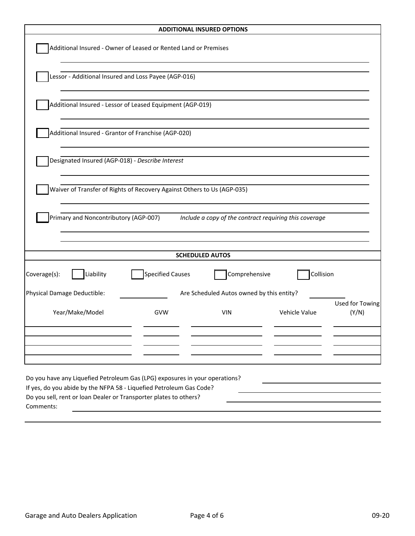| <b>ADDITIONAL INSURED OPTIONS</b>                                                                                                        |                                                                         |                                                        |               |                          |  |  |  |
|------------------------------------------------------------------------------------------------------------------------------------------|-------------------------------------------------------------------------|--------------------------------------------------------|---------------|--------------------------|--|--|--|
|                                                                                                                                          | Additional Insured - Owner of Leased or Rented Land or Premises         |                                                        |               |                          |  |  |  |
|                                                                                                                                          | Lessor - Additional Insured and Loss Payee (AGP-016)                    |                                                        |               |                          |  |  |  |
|                                                                                                                                          | Additional Insured - Lessor of Leased Equipment (AGP-019)               |                                                        |               |                          |  |  |  |
| Additional Insured - Grantor of Franchise (AGP-020)                                                                                      |                                                                         |                                                        |               |                          |  |  |  |
| Designated Insured (AGP-018) - Describe Interest                                                                                         |                                                                         |                                                        |               |                          |  |  |  |
|                                                                                                                                          | Waiver of Transfer of Rights of Recovery Against Others to Us (AGP-035) |                                                        |               |                          |  |  |  |
| Primary and Noncontributory (AGP-007)                                                                                                    |                                                                         | Include a copy of the contract requiring this coverage |               |                          |  |  |  |
|                                                                                                                                          |                                                                         | <b>SCHEDULED AUTOS</b>                                 |               |                          |  |  |  |
| Liability<br>Coverage(s):                                                                                                                | <b>Specified Causes</b>                                                 | Comprehensive                                          | Collision     |                          |  |  |  |
| Physical Damage Deductible:                                                                                                              |                                                                         | Are Scheduled Autos owned by this entity?              |               |                          |  |  |  |
| Year/Make/Model                                                                                                                          | GVW                                                                     | <b>VIN</b>                                             | Vehicle Value | Used for Towing<br>(Y/N) |  |  |  |
|                                                                                                                                          |                                                                         |                                                        |               |                          |  |  |  |
|                                                                                                                                          |                                                                         |                                                        |               |                          |  |  |  |
| Do you have any Liquefied Petroleum Gas (LPG) exposures in your operations?                                                              |                                                                         |                                                        |               |                          |  |  |  |
| If yes, do you abide by the NFPA 58 - Liquefied Petroleum Gas Code?<br>Do you sell, rent or loan Dealer or Transporter plates to others? |                                                                         |                                                        |               |                          |  |  |  |
| Comments:                                                                                                                                |                                                                         |                                                        |               |                          |  |  |  |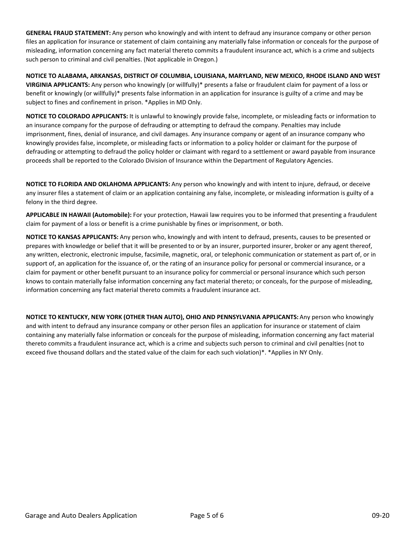**GENERAL FRAUD STATEMENT:** Any person who knowingly and with intent to defraud any insurance company or other person files an application for insurance or statement of claim containing any materially false information or conceals for the purpose of misleading, information concerning any fact material thereto commits a fraudulent insurance act, which is a crime and subjects such person to criminal and civil penalties. (Not applicable in Oregon.)

**NOTICE TO ALABAMA, ARKANSAS, DISTRICT OF COLUMBIA, LOUISIANA, MARYLAND, NEW MEXICO, RHODE ISLAND AND WEST VIRGINIA APPLICANTS:** Any person who knowingly (or willfully)\* presents a false or fraudulent claim for payment of a loss or benefit or knowingly (or willfully)\* presents false information in an application for insurance is guilty of a crime and may be subject to fines and confinement in prison. \*Applies in MD Only.

**NOTICE TO COLORADO APPLICANTS:** It is unlawful to knowingly provide false, incomplete, or misleading facts or information to an insurance company for the purpose of defrauding or attempting to defraud the company. Penalties may include imprisonment, fines, denial of insurance, and civil damages. Any insurance company or agent of an insurance company who knowingly provides false, incomplete, or misleading facts or information to a policy holder or claimant for the purpose of defrauding or attempting to defraud the policy holder or claimant with regard to a settlement or award payable from insurance proceeds shall be reported to the Colorado Division of Insurance within the Department of Regulatory Agencies.

**NOTICE TO FLORIDA AND OKLAHOMA APPLICANTS:** Any person who knowingly and with intent to injure, defraud, or deceive any insurer files a statement of claim or an application containing any false, incomplete, or misleading information is guilty of a felony in the third degree.

**APPLICABLE IN HAWAII (Automobile):** For your protection, Hawaii law requires you to be informed that presenting a fraudulent claim for payment of a loss or benefit is a crime punishable by fines or imprisonment, or both.

**NOTICE TO KANSAS APPLICANTS:** Any person who, knowingly and with intent to defraud, presents, causes to be presented or prepares with knowledge or belief that it will be presented to or by an insurer, purported insurer, broker or any agent thereof, any written, electronic, electronic impulse, facsimile, magnetic, oral, or telephonic communication or statement as part of, or in support of, an application for the issuance of, or the rating of an insurance policy for personal or commercial insurance, or a claim for payment or other benefit pursuant to an insurance policy for commercial or personal insurance which such person knows to contain materially false information concerning any fact material thereto; or conceals, for the purpose of misleading, information concerning any fact material thereto commits a fraudulent insurance act.

**NOTICE TO KENTUCKY, NEW YORK (OTHER THAN AUTO), OHIO AND PENNSYLVANIA APPLICANTS:** Any person who knowingly and with intent to defraud any insurance company or other person files an application for insurance or statement of claim containing any materially false information or conceals for the purpose of misleading, information concerning any fact material thereto commits a fraudulent insurance act, which is a crime and subjects such person to criminal and civil penalties (not to exceed five thousand dollars and the stated value of the claim for each such violation)\*. \*Applies in NY Only.